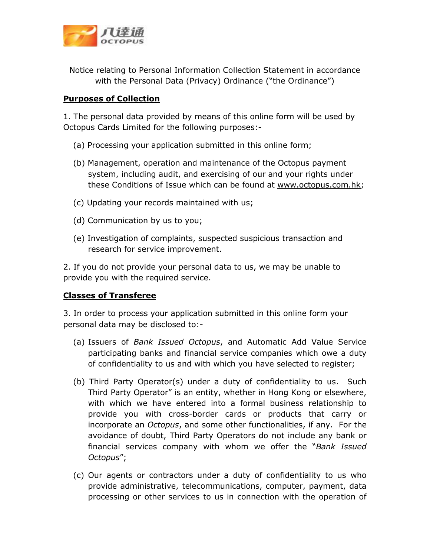

Notice relating to Personal Information Collection Statement in accordance with the Personal Data (Privacy) Ordinance ("the Ordinance")

## **Purposes of Collection**

1. The personal data provided by means of this online form will be used by Octopus Cards Limited for the following purposes:-

- (a) Processing your application submitted in this online form;
- (b) Management, operation and maintenance of the Octopus payment system, including audit, and exercising of our and your rights under these Conditions of Issue which can be found at www.octopus.com.hk;
- (c) Updating your records maintained with us;
- (d) Communication by us to you;
- (e) Investigation of complaints, suspected suspicious transaction and research for service improvement.

2. If you do not provide your personal data to us, we may be unable to provide you with the required service.

## **Classes of Transferee**

3. In order to process your application submitted in this online form your personal data may be disclosed to:-

- (a) Issuers of *Bank Issued Octopus*, and Automatic Add Value Service participating banks and financial service companies which owe a duty of confidentiality to us and with which you have selected to register;
- (b) Third Party Operator(s) under a duty of confidentiality to us. Such Third Party Operator" is an entity, whether in Hong Kong or elsewhere, with which we have entered into a formal business relationship to provide you with cross-border cards or products that carry or incorporate an *Octopus*, and some other functionalities, if any. For the avoidance of doubt, Third Party Operators do not include any bank or financial services company with whom we offer the "*Bank Issued Octopus*";
- (c) Our agents or contractors under a duty of confidentiality to us who provide administrative, telecommunications, computer, payment, data processing or other services to us in connection with the operation of